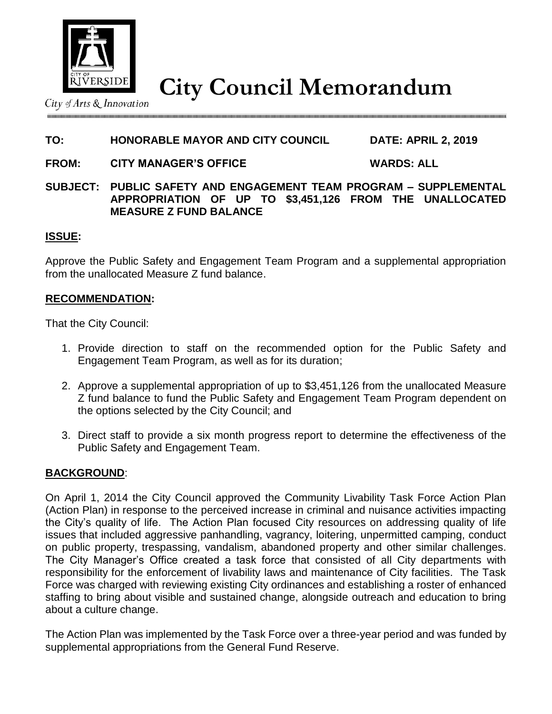

**City Council Memorandum**

City of Arts & Innovation

# **TO: HONORABLE MAYOR AND CITY COUNCIL DATE: APRIL 2, 2019**

**FROM: CITY MANAGER'S OFFICE WARDS: ALL**

## **SUBJECT: PUBLIC SAFETY AND ENGAGEMENT TEAM PROGRAM – SUPPLEMENTAL APPROPRIATION OF UP TO \$3,451,126 FROM THE UNALLOCATED MEASURE Z FUND BALANCE**

## **ISSUE:**

Approve the Public Safety and Engagement Team Program and a supplemental appropriation from the unallocated Measure Z fund balance.

## **RECOMMENDATION:**

That the City Council:

- 1. Provide direction to staff on the recommended option for the Public Safety and Engagement Team Program, as well as for its duration;
- 2. Approve a supplemental appropriation of up to \$3,451,126 from the unallocated Measure Z fund balance to fund the Public Safety and Engagement Team Program dependent on the options selected by the City Council; and
- 3. Direct staff to provide a six month progress report to determine the effectiveness of the Public Safety and Engagement Team.

## **BACKGROUND**:

On April 1, 2014 the City Council approved the Community Livability Task Force Action Plan (Action Plan) in response to the perceived increase in criminal and nuisance activities impacting the City's quality of life. The Action Plan focused City resources on addressing quality of life issues that included aggressive panhandling, vagrancy, loitering, unpermitted camping, conduct on public property, trespassing, vandalism, abandoned property and other similar challenges. The City Manager's Office created a task force that consisted of all City departments with responsibility for the enforcement of livability laws and maintenance of City facilities. The Task Force was charged with reviewing existing City ordinances and establishing a roster of enhanced staffing to bring about visible and sustained change, alongside outreach and education to bring about a culture change.

The Action Plan was implemented by the Task Force over a three-year period and was funded by supplemental appropriations from the General Fund Reserve.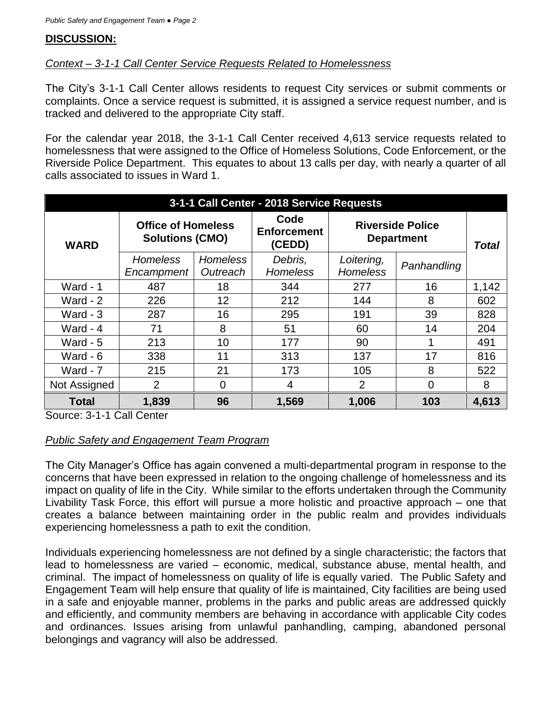## **DISCUSSION:**

## *Context – 3-1-1 Call Center Service Requests Related to Homelessness*

The City's 3-1-1 Call Center allows residents to request City services or submit comments or complaints. Once a service request is submitted, it is assigned a service request number, and is tracked and delivered to the appropriate City staff.

For the calendar year 2018, the 3-1-1 Call Center received 4,613 service requests related to homelessness that were assigned to the Office of Homeless Solutions, Code Enforcement, or the Riverside Police Department. This equates to about 13 calls per day, with nearly a quarter of all calls associated to issues in Ward 1.

| 3-1-1 Call Center - 2018 Service Requests |                                                     |                             |                                      |                                              |             |       |  |  |
|-------------------------------------------|-----------------------------------------------------|-----------------------------|--------------------------------------|----------------------------------------------|-------------|-------|--|--|
| <b>WARD</b>                               | <b>Office of Homeless</b><br><b>Solutions (CMO)</b> |                             | Code<br><b>Enforcement</b><br>(CEDD) | <b>Riverside Police</b><br><b>Department</b> |             | Total |  |  |
|                                           | <b>Homeless</b><br>Encampment                       | <b>Homeless</b><br>Outreach | Debris,<br><b>Homeless</b>           | Loitering,<br><b>Homeless</b>                | Panhandling |       |  |  |
| Ward - $1$                                | 487                                                 | 18                          | 344                                  | 277                                          | 16          | 1,142 |  |  |
| Ward - $2$                                | 226                                                 | 12                          | 212                                  | 144                                          | 8           | 602   |  |  |
| Ward - $3$                                | 287                                                 | 16                          | 295                                  | 191                                          | 39          | 828   |  |  |
| Ward - 4                                  | 71                                                  | 8                           | 51                                   | 60                                           | 14          | 204   |  |  |
| Ward - $5$                                | 213                                                 | 10                          | 177                                  | 90                                           |             | 491   |  |  |
| Ward - $6$                                | 338                                                 | 11                          | 313                                  | 137                                          | 17          | 816   |  |  |
| Ward - 7                                  | 215                                                 | 21                          | 173                                  | 105                                          | 8           | 522   |  |  |
| Not Assigned                              | $\overline{2}$                                      | $\overline{0}$              | 4                                    | $\overline{2}$                               | $\Omega$    | 8     |  |  |
| <b>Total</b>                              | 1,839                                               | 96                          | 1,569                                | 1,006                                        | 103         | 4,613 |  |  |

Source: 3-1-1 Call Center

# *Public Safety and Engagement Team Program*

The City Manager's Office has again convened a multi-departmental program in response to the concerns that have been expressed in relation to the ongoing challenge of homelessness and its impact on quality of life in the City. While similar to the efforts undertaken through the Community Livability Task Force, this effort will pursue a more holistic and proactive approach – one that creates a balance between maintaining order in the public realm and provides individuals experiencing homelessness a path to exit the condition.

Individuals experiencing homelessness are not defined by a single characteristic; the factors that lead to homelessness are varied – economic, medical, substance abuse, mental health, and criminal. The impact of homelessness on quality of life is equally varied. The Public Safety and Engagement Team will help ensure that quality of life is maintained, City facilities are being used in a safe and enjoyable manner, problems in the parks and public areas are addressed quickly and efficiently, and community members are behaving in accordance with applicable City codes and ordinances. Issues arising from unlawful panhandling, camping, abandoned personal belongings and vagrancy will also be addressed.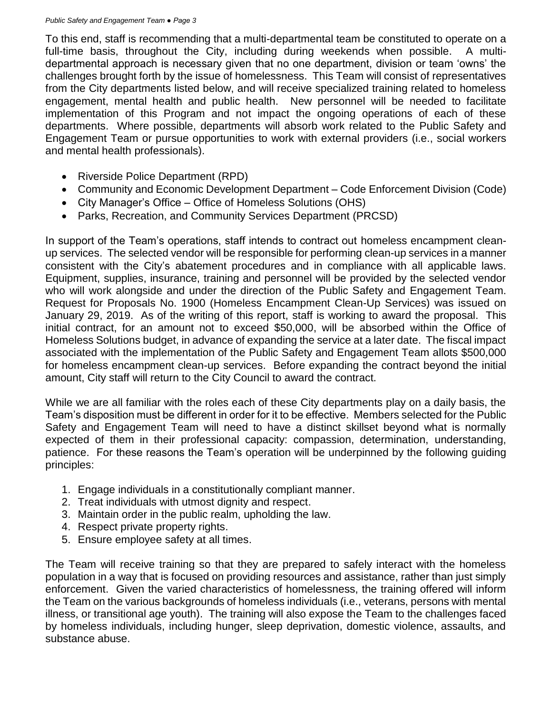#### *Public Safety and Engagement Team ● Page 3*

To this end, staff is recommending that a multi-departmental team be constituted to operate on a full-time basis, throughout the City, including during weekends when possible. A multidepartmental approach is necessary given that no one department, division or team 'owns' the challenges brought forth by the issue of homelessness. This Team will consist of representatives from the City departments listed below, and will receive specialized training related to homeless engagement, mental health and public health. New personnel will be needed to facilitate implementation of this Program and not impact the ongoing operations of each of these departments. Where possible, departments will absorb work related to the Public Safety and Engagement Team or pursue opportunities to work with external providers (i.e., social workers and mental health professionals).

- Riverside Police Department (RPD)
- Community and Economic Development Department Code Enforcement Division (Code)
- City Manager's Office Office of Homeless Solutions (OHS)
- Parks, Recreation, and Community Services Department (PRCSD)

In support of the Team's operations, staff intends to contract out homeless encampment cleanup services. The selected vendor will be responsible for performing clean-up services in a manner consistent with the City's abatement procedures and in compliance with all applicable laws. Equipment, supplies, insurance, training and personnel will be provided by the selected vendor who will work alongside and under the direction of the Public Safety and Engagement Team. Request for Proposals No. 1900 (Homeless Encampment Clean-Up Services) was issued on January 29, 2019. As of the writing of this report, staff is working to award the proposal. This initial contract, for an amount not to exceed \$50,000, will be absorbed within the Office of Homeless Solutions budget, in advance of expanding the service at a later date. The fiscal impact associated with the implementation of the Public Safety and Engagement Team allots \$500,000 for homeless encampment clean-up services. Before expanding the contract beyond the initial amount, City staff will return to the City Council to award the contract.

While we are all familiar with the roles each of these City departments play on a daily basis, the Team's disposition must be different in order for it to be effective. Members selected for the Public Safety and Engagement Team will need to have a distinct skillset beyond what is normally expected of them in their professional capacity: compassion, determination, understanding, patience. For these reasons the Team's operation will be underpinned by the following guiding principles:

- 1. Engage individuals in a constitutionally compliant manner.
- 2. Treat individuals with utmost dignity and respect.
- 3. Maintain order in the public realm, upholding the law.
- 4. Respect private property rights.
- 5. Ensure employee safety at all times.

The Team will receive training so that they are prepared to safely interact with the homeless population in a way that is focused on providing resources and assistance, rather than just simply enforcement. Given the varied characteristics of homelessness, the training offered will inform the Team on the various backgrounds of homeless individuals (i.e., veterans, persons with mental illness, or transitional age youth). The training will also expose the Team to the challenges faced by homeless individuals, including hunger, sleep deprivation, domestic violence, assaults, and substance abuse.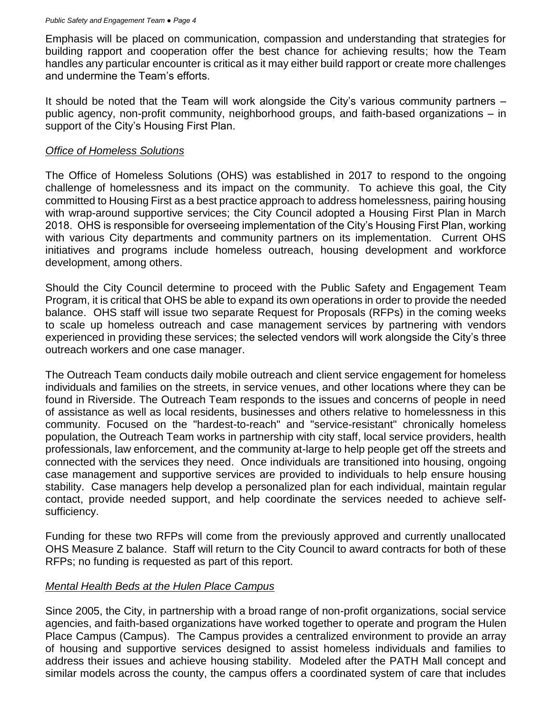Emphasis will be placed on communication, compassion and understanding that strategies for building rapport and cooperation offer the best chance for achieving results; how the Team handles any particular encounter is critical as it may either build rapport or create more challenges and undermine the Team's efforts.

It should be noted that the Team will work alongside the City's various community partners – public agency, non-profit community, neighborhood groups, and faith-based organizations – in support of the City's Housing First Plan.

## *Office of Homeless Solutions*

The Office of Homeless Solutions (OHS) was established in 2017 to respond to the ongoing challenge of homelessness and its impact on the community. To achieve this goal, the City committed to Housing First as a best practice approach to address homelessness, pairing housing with wrap-around supportive services; the City Council adopted a Housing First Plan in March 2018. OHS is responsible for overseeing implementation of the City's Housing First Plan, working with various City departments and community partners on its implementation. Current OHS initiatives and programs include homeless outreach, housing development and workforce development, among others.

Should the City Council determine to proceed with the Public Safety and Engagement Team Program, it is critical that OHS be able to expand its own operations in order to provide the needed balance. OHS staff will issue two separate Request for Proposals (RFPs) in the coming weeks to scale up homeless outreach and case management services by partnering with vendors experienced in providing these services; the selected vendors will work alongside the City's three outreach workers and one case manager.

The Outreach Team conducts daily mobile outreach and client service engagement for homeless individuals and families on the streets, in service venues, and other locations where they can be found in Riverside. The Outreach Team responds to the issues and concerns of people in need of assistance as well as local residents, businesses and others relative to homelessness in this community. Focused on the "hardest-to-reach" and "service-resistant" chronically homeless population, the Outreach Team works in partnership with city staff, local service providers, health professionals, law enforcement, and the community at-large to help people get off the streets and connected with the services they need. Once individuals are transitioned into housing, ongoing case management and supportive services are provided to individuals to help ensure housing stability. Case managers help develop a personalized plan for each individual, maintain regular contact, provide needed support, and help coordinate the services needed to achieve selfsufficiency.

Funding for these two RFPs will come from the previously approved and currently unallocated OHS Measure Z balance. Staff will return to the City Council to award contracts for both of these RFPs; no funding is requested as part of this report.

### *Mental Health Beds at the Hulen Place Campus*

Since 2005, the City, in partnership with a broad range of non-profit organizations, social service agencies, and faith-based organizations have worked together to operate and program the Hulen Place Campus (Campus). The Campus provides a centralized environment to provide an array of housing and supportive services designed to assist homeless individuals and families to address their issues and achieve housing stability. Modeled after the PATH Mall concept and similar models across the county, the campus offers a coordinated system of care that includes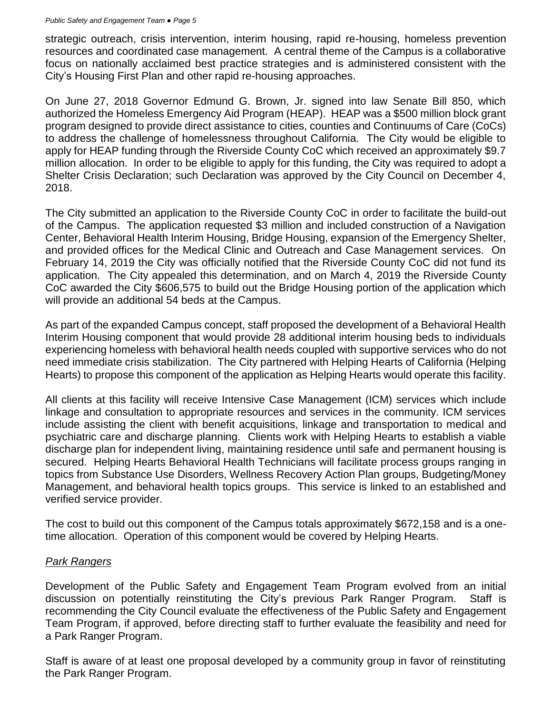#### *Public Safety and Engagement Team ● Page 5*

strategic outreach, crisis intervention, interim housing, rapid re-housing, homeless prevention resources and coordinated case management. A central theme of the Campus is a collaborative focus on nationally acclaimed best practice strategies and is administered consistent with the City's Housing First Plan and other rapid re-housing approaches.

On June 27, 2018 Governor Edmund G. Brown, Jr. signed into law Senate Bill 850, which authorized the Homeless Emergency Aid Program (HEAP). HEAP was a \$500 million block grant program designed to provide direct assistance to cities, counties and Continuums of Care (CoCs) to address the challenge of homelessness throughout California. The City would be eligible to apply for HEAP funding through the Riverside County CoC which received an approximately \$9.7 million allocation. In order to be eligible to apply for this funding, the City was required to adopt a Shelter Crisis Declaration; such Declaration was approved by the City Council on December 4, 2018.

The City submitted an application to the Riverside County CoC in order to facilitate the build-out of the Campus. The application requested \$3 million and included construction of a Navigation Center, Behavioral Health Interim Housing, Bridge Housing, expansion of the Emergency Shelter, and provided offices for the Medical Clinic and Outreach and Case Management services. On February 14, 2019 the City was officially notified that the Riverside County CoC did not fund its application. The City appealed this determination, and on March 4, 2019 the Riverside County CoC awarded the City \$606,575 to build out the Bridge Housing portion of the application which will provide an additional 54 beds at the Campus.

As part of the expanded Campus concept, staff proposed the development of a Behavioral Health Interim Housing component that would provide 28 additional interim housing beds to individuals experiencing homeless with behavioral health needs coupled with supportive services who do not need immediate crisis stabilization. The City partnered with Helping Hearts of California (Helping Hearts) to propose this component of the application as Helping Hearts would operate this facility.

All clients at this facility will receive Intensive Case Management (ICM) services which include linkage and consultation to appropriate resources and services in the community. ICM services include assisting the client with benefit acquisitions, linkage and transportation to medical and psychiatric care and discharge planning. Clients work with Helping Hearts to establish a viable discharge plan for independent living, maintaining residence until safe and permanent housing is secured. Helping Hearts Behavioral Health Technicians will facilitate process groups ranging in topics from Substance Use Disorders, Wellness Recovery Action Plan groups, Budgeting/Money Management, and behavioral health topics groups. This service is linked to an established and verified service provider.

The cost to build out this component of the Campus totals approximately \$672,158 and is a onetime allocation. Operation of this component would be covered by Helping Hearts.

## *Park Rangers*

Development of the Public Safety and Engagement Team Program evolved from an initial discussion on potentially reinstituting the City's previous Park Ranger Program. Staff is recommending the City Council evaluate the effectiveness of the Public Safety and Engagement Team Program, if approved, before directing staff to further evaluate the feasibility and need for a Park Ranger Program.

Staff is aware of at least one proposal developed by a community group in favor of reinstituting the Park Ranger Program.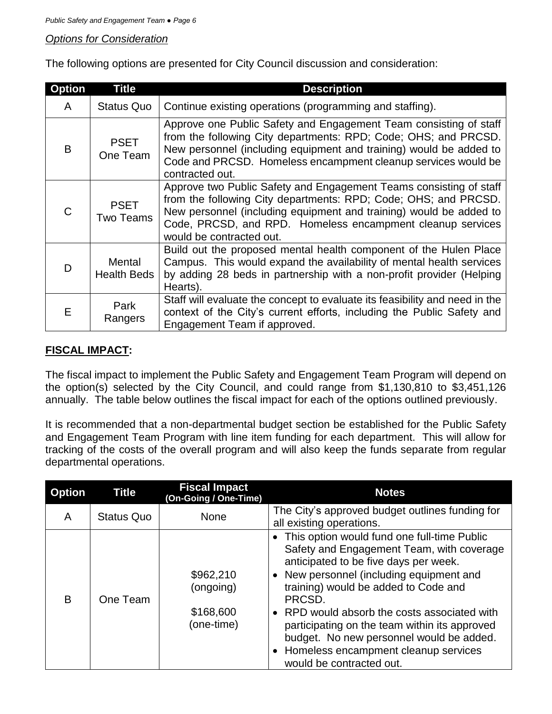## *Options for Consideration*

The following options are presented for City Council discussion and consideration:

| Option | <b>Title</b>                                                                                                                                                                                                                                                  | <b>Description</b>                                                                                                                                                                                                                                                                                    |
|--------|---------------------------------------------------------------------------------------------------------------------------------------------------------------------------------------------------------------------------------------------------------------|-------------------------------------------------------------------------------------------------------------------------------------------------------------------------------------------------------------------------------------------------------------------------------------------------------|
| A      | <b>Status Quo</b>                                                                                                                                                                                                                                             | Continue existing operations (programming and staffing).                                                                                                                                                                                                                                              |
| B      | <b>PSET</b><br>One Team                                                                                                                                                                                                                                       | Approve one Public Safety and Engagement Team consisting of staff<br>from the following City departments: RPD; Code; OHS; and PRCSD.<br>New personnel (including equipment and training) would be added to<br>Code and PRCSD. Homeless encampment cleanup services would be<br>contracted out.        |
|        | <b>PSET</b><br><b>Two Teams</b>                                                                                                                                                                                                                               | Approve two Public Safety and Engagement Teams consisting of staff<br>from the following City departments: RPD; Code; OHS; and PRCSD.<br>New personnel (including equipment and training) would be added to<br>Code, PRCSD, and RPD. Homeless encampment cleanup services<br>would be contracted out. |
| D      | Build out the proposed mental health component of the Hulen Place<br>Campus. This would expand the availability of mental health services<br>Mental<br>by adding 28 beds in partnership with a non-profit provider (Helping<br><b>Health Beds</b><br>Hearts). |                                                                                                                                                                                                                                                                                                       |
| E      | Park<br>Rangers                                                                                                                                                                                                                                               | Staff will evaluate the concept to evaluate its feasibility and need in the<br>context of the City's current efforts, including the Public Safety and<br>Engagement Team if approved.                                                                                                                 |

# **FISCAL IMPACT:**

The fiscal impact to implement the Public Safety and Engagement Team Program will depend on the option(s) selected by the City Council, and could range from \$1,130,810 to \$3,451,126 annually. The table below outlines the fiscal impact for each of the options outlined previously.

It is recommended that a non-departmental budget section be established for the Public Safety and Engagement Team Program with line item funding for each department. This will allow for tracking of the costs of the overall program and will also keep the funds separate from regular departmental operations.

| <b>Option</b> | Title             | <b>Fiscal Impact</b><br>(On-Going / One-Time)     | <b>Notes</b>                                                                                                                                                                                                                                                                                                                                                                                                                                         |
|---------------|-------------------|---------------------------------------------------|------------------------------------------------------------------------------------------------------------------------------------------------------------------------------------------------------------------------------------------------------------------------------------------------------------------------------------------------------------------------------------------------------------------------------------------------------|
| A             | <b>Status Quo</b> | <b>None</b>                                       | The City's approved budget outlines funding for<br>all existing operations.                                                                                                                                                                                                                                                                                                                                                                          |
| B             | One Team          | \$962,210<br>(ongoing)<br>\$168,600<br>(one-time) | • This option would fund one full-time Public<br>Safety and Engagement Team, with coverage<br>anticipated to be five days per week.<br>• New personnel (including equipment and<br>training) would be added to Code and<br>PRCSD.<br>• RPD would absorb the costs associated with<br>participating on the team within its approved<br>budget. No new personnel would be added.<br>• Homeless encampment cleanup services<br>would be contracted out. |